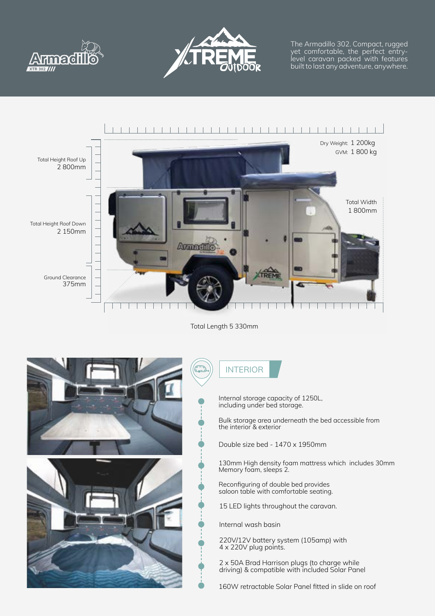



The Armadillo 302. Compact, rugged yet comfortable, the perfect entrylevel caravan packed with features built to last any adventure, anywhere.



Total Length 5 330mm



INTERIOR

Internal storage capacity of 1250L, including under bed storage.

Bulk storage area underneath the bed accessible from the interior & exterior

Double size bed - 1470 x 1950mm

130mm High density foam mattress which includes 30mm Memory foam, sleeps 2.

Reconfiguring of double bed provides saloon table with comfortable seating.

15 LED lights throughout the caravan.

Internal wash basin

220V/12V battery system (105amp) with 4 x 220V plug points.

2 x 50A Brad Harrison plugs (to charge while driving) & compatible with included Solar Panel

160W retractable Solar Panel fitted in slide on roof